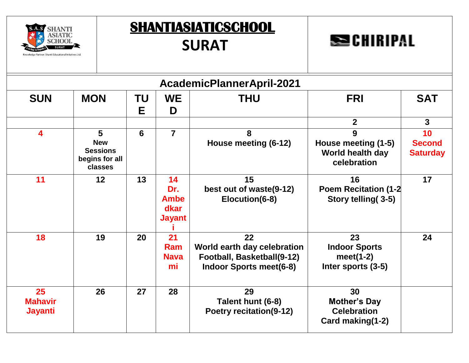

| <b>SECHIRIPAL</b> |  |  |  |  |
|-------------------|--|--|--|--|
|                   |  |  |  |  |

| AcademicPlannerApril-2021              |                                                                 |          |                                                   |                                                                                                   |                                                                     |                                        |  |  |  |  |
|----------------------------------------|-----------------------------------------------------------------|----------|---------------------------------------------------|---------------------------------------------------------------------------------------------------|---------------------------------------------------------------------|----------------------------------------|--|--|--|--|
| <b>SUN</b>                             | <b>MON</b>                                                      | ΤU<br>E. | <b>WE</b><br>D                                    | <b>THU</b>                                                                                        | <b>FRI</b>                                                          | <b>SAT</b>                             |  |  |  |  |
|                                        |                                                                 |          |                                                   |                                                                                                   | $\overline{2}$                                                      | $\mathbf{3}$                           |  |  |  |  |
| $\overline{\mathbf{4}}$                | 5<br><b>New</b><br><b>Sessions</b><br>begins for all<br>classes | 6        | $\overline{7}$                                    | 8<br>House meeting (6-12)                                                                         | 9<br>House meeting (1-5)<br>World health day<br>celebration         | 10<br><b>Second</b><br><b>Saturday</b> |  |  |  |  |
| 11                                     | 12                                                              | 13       | 14<br>Dr.<br><b>Ambe</b><br>dkar<br><b>Jayant</b> | 15<br>best out of waste(9-12)<br>Elocution(6-8)                                                   | 16<br><b>Poem Recitation (1-2)</b><br>Story telling(3-5)            | 17                                     |  |  |  |  |
| 18                                     | 19                                                              | 20       | 21<br>Ram<br><b>Nava</b><br>mi                    | 22<br>World earth day celebration<br>Football, Basketball(9-12)<br><b>Indoor Sports meet(6-8)</b> | 23<br><b>Indoor Sports</b><br>meet $(1-2)$<br>Inter sports (3-5)    | 24                                     |  |  |  |  |
| 25<br><b>Mahavir</b><br><b>Jayanti</b> | 26                                                              | 27       | 28                                                | 29<br>Talent hunt (6-8)<br><b>Poetry recitation(9-12)</b>                                         | 30<br><b>Mother's Day</b><br><b>Celebration</b><br>Card making(1-2) |                                        |  |  |  |  |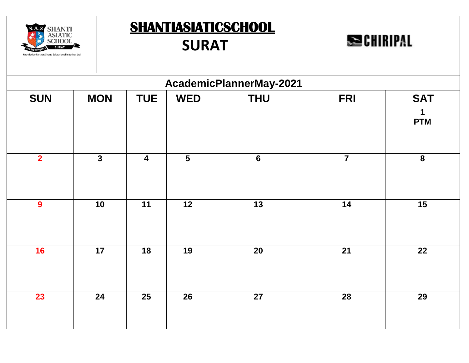

**SECHIRIPAL** 

|                         | AcademicPlannerMay-2021 |                         |                         |                 |                |                  |  |  |  |  |
|-------------------------|-------------------------|-------------------------|-------------------------|-----------------|----------------|------------------|--|--|--|--|
| <b>SUN</b>              | <b>MON</b>              | <b>TUE</b>              | <b>WED</b>              | <b>THU</b>      | <b>FRI</b>     | <b>SAT</b>       |  |  |  |  |
|                         |                         |                         |                         |                 |                | 1<br><b>PTM</b>  |  |  |  |  |
| $\overline{\mathbf{2}}$ | $\mathbf{3}$            | $\overline{\mathbf{4}}$ | $\overline{\mathbf{5}}$ | $6\phantom{1}6$ | $\overline{7}$ | $\boldsymbol{8}$ |  |  |  |  |
| $\boldsymbol{9}$        | 10                      | 11                      | 12                      | 13              | 14             | 15               |  |  |  |  |
| 16                      | 17                      | 18                      | 19                      | 20              | 21             | 22               |  |  |  |  |
| 23                      | 24                      | 25                      | 26                      | 27              | 28             | 29               |  |  |  |  |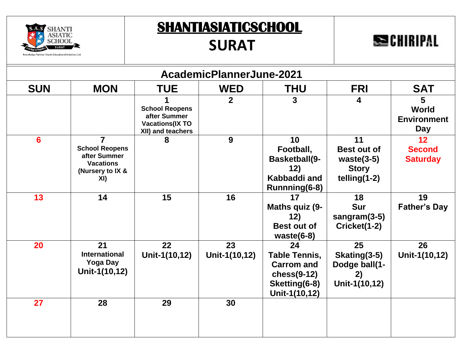

## **SURAT**

# **SECHIRIPAL**

|            | AcademicPlannerJune-2021                                                                               |                                                                                      |                     |                                                                                                   |                                                                             |                                                     |  |  |  |
|------------|--------------------------------------------------------------------------------------------------------|--------------------------------------------------------------------------------------|---------------------|---------------------------------------------------------------------------------------------------|-----------------------------------------------------------------------------|-----------------------------------------------------|--|--|--|
| <b>SUN</b> | <b>MON</b>                                                                                             | <b>TUE</b>                                                                           | <b>WED</b>          | <b>THU</b>                                                                                        | <b>FRI</b>                                                                  | <b>SAT</b>                                          |  |  |  |
|            |                                                                                                        | <b>School Reopens</b><br>after Summer<br><b>Vacations(IX TO</b><br>XII) and teachers | $\overline{2}$      | 3                                                                                                 | $\overline{\mathbf{4}}$                                                     | 5<br>World<br><b>Environment</b><br><b>Day</b>      |  |  |  |
| 6          | $\overline{7}$<br><b>School Reopens</b><br>after Summer<br><b>Vacations</b><br>(Nursery to IX &<br>XI) |                                                                                      | 9                   | 10<br>Football,<br><b>Basketball(9-</b><br>12)<br>Kabbaddi and<br>Runnning(6-8)                   | 11<br><b>Best out of</b><br>waste $(3-5)$<br><b>Story</b><br>$telling(1-2)$ | 12 <sup>2</sup><br><b>Second</b><br><b>Saturday</b> |  |  |  |
| 13         | 14                                                                                                     | 15                                                                                   | 16                  | 17<br>Maths quiz (9-<br>12)<br><b>Best out of</b><br>waste $(6-8)$                                | 18<br><b>Sur</b><br>sangram $(3-5)$<br>Cricket(1-2)                         | 19<br><b>Father's Day</b>                           |  |  |  |
| 20         | 21<br><b>International</b><br><b>Yoga Day</b><br>Unit-1(10,12)                                         | 22<br>Unit-1(10,12)                                                                  | 23<br>Unit-1(10,12) | 24<br><b>Table Tennis,</b><br><b>Carrom and</b><br>$ches(9-12)$<br>Sketting(6-8)<br>Unit-1(10,12) | 25<br>Skating(3-5)<br>Dodge ball(1-<br>2)<br>Unit-1(10,12)                  | 26<br>Unit-1(10,12)                                 |  |  |  |
| 27         | 28                                                                                                     | 29                                                                                   | 30                  |                                                                                                   |                                                                             |                                                     |  |  |  |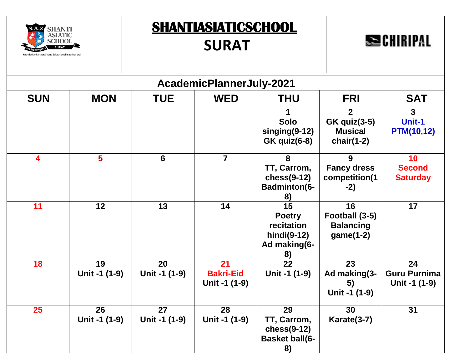



|            | AcademicPlannerJuly-2021 |                     |                                         |                                                                        |                                                                          |                                            |  |  |  |
|------------|--------------------------|---------------------|-----------------------------------------|------------------------------------------------------------------------|--------------------------------------------------------------------------|--------------------------------------------|--|--|--|
| <b>SUN</b> | <b>MON</b>               | <b>TUE</b>          | <b>WED</b>                              | <b>THU</b>                                                             | <b>FRI</b>                                                               | <b>SAT</b>                                 |  |  |  |
|            |                          |                     |                                         | <b>Solo</b><br>$singing(9-12)$<br><b>GK</b> quiz(6-8)                  | $\overline{2}$<br><b>GK</b> quiz(3-5)<br><b>Musical</b><br>chair $(1-2)$ | 3<br>Unit-1<br><b>PTM(10,12)</b>           |  |  |  |
| 4          | $5\phantom{a}$           | $6\phantom{1}$      | $\overline{7}$                          | 8<br>TT, Carrom,<br>$ches(9-12)$<br><b>Badminton(6-</b><br>8)          | 9<br><b>Fancy dress</b><br>competition(1<br>$-2)$                        | 10<br><b>Second</b><br><b>Saturday</b>     |  |  |  |
| 11         | 12                       | 13                  | 14                                      | 15<br><b>Poetry</b><br>recitation<br>hindi(9-12)<br>Ad making(6-<br>8) | 16<br>Football (3-5)<br><b>Balancing</b><br>$game(1-2)$                  | 17                                         |  |  |  |
| 18         | 19<br>Unit -1 (1-9)      | 20<br>Unit -1 (1-9) | 21<br><b>Bakri-Eid</b><br>Unit -1 (1-9) | $\overline{22}$<br>Unit -1 (1-9)                                       | 23<br>Ad making(3-<br>5)<br>Unit -1 (1-9)                                | 24<br><b>Guru Purnima</b><br>Unit -1 (1-9) |  |  |  |
| 25         | 26<br>Unit -1 (1-9)      | 27<br>Unit -1 (1-9) | 28<br>Unit -1 (1-9)                     | 29<br>TT, Carrom,<br>$ches(9-12)$<br><b>Basket ball(6-</b><br>8)       | 30<br>Karate(3-7)                                                        | 31                                         |  |  |  |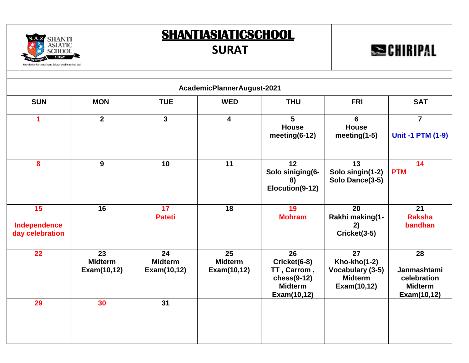#### **SURAT**

**SECHIRIPAL** 



A Q

**SHANTI** 

**SIATIC** 

| AcademicPlannerAugust-2021            |                                     |                                     |                                     |                                                                                    |                                                                         |                                                                   |  |  |
|---------------------------------------|-------------------------------------|-------------------------------------|-------------------------------------|------------------------------------------------------------------------------------|-------------------------------------------------------------------------|-------------------------------------------------------------------|--|--|
| <b>SUN</b>                            | <b>MON</b>                          | <b>TUE</b>                          | <b>WED</b>                          | <b>THU</b>                                                                         | <b>FRI</b>                                                              | <b>SAT</b>                                                        |  |  |
| 1                                     | $\overline{2}$                      | $\mathbf{3}$                        | $\overline{\mathbf{4}}$             | $5\phantom{.0}$<br><b>House</b><br>meeting $(6-12)$                                | 6<br><b>House</b><br>meeting $(1-5)$                                    | $\overline{7}$<br><b>Unit -1 PTM (1-9)</b>                        |  |  |
| 8                                     | 9                                   | 10                                  | 11                                  | 12<br>Solo siniging(6-<br>8)<br>Elocution(9-12)                                    | 13<br>Solo singin(1-2)<br>Solo Dance(3-5)                               | 14<br><b>PTM</b>                                                  |  |  |
| 15<br>Independence<br>day celebration | 16                                  | 17<br><b>Pateti</b>                 | 18                                  | 19<br><b>Mohram</b>                                                                | 20<br>Rakhi making(1-<br>2)<br>Cricket(3-5)                             | 21<br><b>Raksha</b><br>bandhan                                    |  |  |
| 22                                    | 23<br><b>Midterm</b><br>Exam(10,12) | 24<br><b>Midterm</b><br>Exam(10,12) | 25<br><b>Midterm</b><br>Exam(10,12) | 26<br>Cricket(6-8)<br>TT, Carrom,<br>$ches(9-12)$<br><b>Midterm</b><br>Exam(10,12) | 27<br>Kho-kho(1-2)<br>Vocabulary (3-5)<br><b>Midterm</b><br>Exam(10,12) | 28<br>Janmashtami<br>celebration<br><b>Midterm</b><br>Exam(10,12) |  |  |
| 29                                    | 30                                  | 31                                  |                                     |                                                                                    |                                                                         |                                                                   |  |  |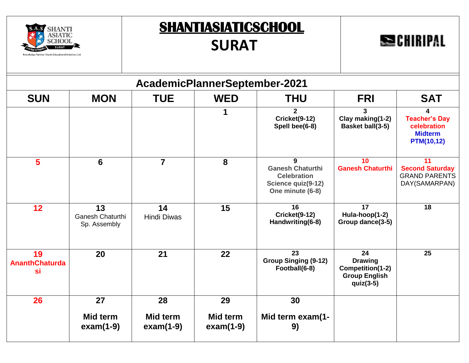



|                                   | AcademicPlannerSeptember-2021          |                                |                         |                                                                                              |                                                                                               |                                                                                 |  |  |  |  |
|-----------------------------------|----------------------------------------|--------------------------------|-------------------------|----------------------------------------------------------------------------------------------|-----------------------------------------------------------------------------------------------|---------------------------------------------------------------------------------|--|--|--|--|
| <b>SUN</b>                        | <b>MON</b>                             | <b>TUE</b>                     | <b>WED</b>              | <b>THU</b>                                                                                   | <b>FRI</b>                                                                                    | <b>SAT</b>                                                                      |  |  |  |  |
|                                   |                                        |                                |                         | $\mathbf{2}$<br>Cricket(9-12)<br>Spell bee(6-8)                                              | 3<br>Clay making(1-2)<br><b>Basket ball(3-5)</b>                                              | 4<br><b>Teacher's Day</b><br>celebration<br><b>Midterm</b><br><b>PTM(10,12)</b> |  |  |  |  |
| 5                                 | $6\phantom{1}6$                        | $\overline{7}$                 | 8                       | 9<br><b>Ganesh Chaturthi</b><br><b>Celebration</b><br>Science quiz(9-12)<br>One minute (6-8) | 10<br><b>Ganesh Chaturthi</b>                                                                 | 11<br><b>Second Saturday</b><br><b>GRAND PARENTS</b><br>DAY(SAMARPAN)           |  |  |  |  |
| 12                                | 13<br>Ganesh Chaturthi<br>Sp. Assembly | 14<br><b>Hindi Diwas</b>       | 15                      | 16<br>Cricket(9-12)<br>Handwriting(6-8)                                                      | 17<br>Hula-hoop(1-2)<br>Group dance(3-5)                                                      | 18                                                                              |  |  |  |  |
| 19<br><b>AnanthChaturda</b><br>si | 20                                     | 21                             | 22                      | 23<br><b>Group Singing (9-12)</b><br>Football(6-8)                                           | $\overline{24}$<br><b>Drawing</b><br>Competition(1-2)<br><b>Group English</b><br>quiz $(3-5)$ | $\overline{25}$                                                                 |  |  |  |  |
| 26                                | 27                                     | 28                             | 29                      | 30                                                                                           |                                                                                               |                                                                                 |  |  |  |  |
|                                   | Mid term<br>$exam(1-9)$                | <b>Mid term</b><br>$exam(1-9)$ | Mid term<br>$exam(1-9)$ | Mid term exam(1-<br>9)                                                                       |                                                                                               |                                                                                 |  |  |  |  |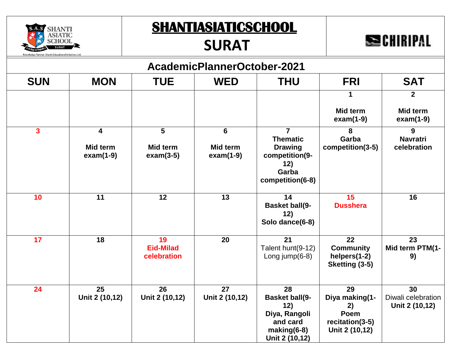#### **SURAT**

# **SECHIRIPAL**



**SHANTI** 

| AcademicPlannerOctober-2021 |                         |                                       |                         |                                                                                                    |                                                                         |                                            |  |  |  |
|-----------------------------|-------------------------|---------------------------------------|-------------------------|----------------------------------------------------------------------------------------------------|-------------------------------------------------------------------------|--------------------------------------------|--|--|--|
| <b>SUN</b>                  | <b>MON</b>              | <b>TUE</b>                            | <b>WED</b>              | <b>THU</b>                                                                                         | <b>FRI</b>                                                              | <b>SAT</b>                                 |  |  |  |
|                             |                         |                                       |                         |                                                                                                    | 1                                                                       | $\overline{2}$                             |  |  |  |
|                             |                         |                                       |                         |                                                                                                    | Mid term<br>$exam(1-9)$                                                 | Mid term<br>$exam(1-9)$                    |  |  |  |
| $\overline{\mathbf{3}}$     | 4                       | 5                                     | $6\phantom{1}$          | $\overline{7}$                                                                                     | 8                                                                       | 9                                          |  |  |  |
|                             | Mid term<br>$exam(1-9)$ | <b>Mid term</b><br>$exam(3-5)$        | Mid term<br>$exam(1-9)$ | <b>Thematic</b><br><b>Drawing</b><br>competition(9-<br>12)<br>Garba<br>competition(6-8)            | Garba<br>competition(3-5)                                               | <b>Navratri</b><br>celebration             |  |  |  |
| 10                          | 11                      | 12                                    | 13                      | 14<br><b>Basket ball(9-</b><br>12)<br>Solo dance(6-8)                                              | 15<br><b>Dusshera</b>                                                   | 16                                         |  |  |  |
| 17                          | 18                      | 19<br><b>Eid-Milad</b><br>celebration | 20                      | 21<br>Talent hunt(9-12)<br>Long $jump(6-8)$                                                        | 22<br><b>Community</b><br>helpers(1-2)<br>Sketting (3-5)                | 23<br>Mid term PTM(1-<br>9)                |  |  |  |
| 24                          | 25<br>Unit 2 (10,12)    | 26<br>Unit 2 (10,12)                  | 27<br>Unit 2 (10,12)    | 28<br><b>Basket ball(9-</b><br>12)<br>Diya, Rangoli<br>and card<br>$making(6-8)$<br>Unit 2 (10,12) | 29<br>Diya making(1-<br>2)<br>Poem<br>recitation(3-5)<br>Unit 2 (10,12) | 30<br>Diwali celebration<br>Unit 2 (10,12) |  |  |  |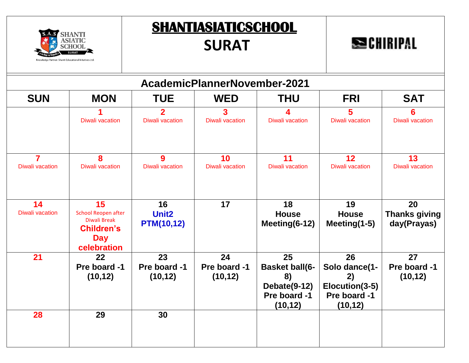



|                                          | AcademicPlannerNovember-2021                                                                              |                                              |                                |                                                                               |                                                                         |                                           |  |  |  |
|------------------------------------------|-----------------------------------------------------------------------------------------------------------|----------------------------------------------|--------------------------------|-------------------------------------------------------------------------------|-------------------------------------------------------------------------|-------------------------------------------|--|--|--|
| <b>SUN</b>                               | <b>MON</b>                                                                                                | <b>TUE</b>                                   | <b>WED</b>                     | <b>THU</b>                                                                    | <b>FRI</b>                                                              | <b>SAT</b>                                |  |  |  |
|                                          | <b>Diwali vacation</b>                                                                                    | $\mathbf{2}$<br><b>Diwali vacation</b>       | 3<br><b>Diwali vacation</b>    | <b>Diwali vacation</b>                                                        | $\overline{\mathbf{5}}$<br><b>Diwali vacation</b>                       | 6<br><b>Diwali vacation</b>               |  |  |  |
| $\overline{7}$<br><b>Diwali vacation</b> | 8<br><b>Diwali vacation</b>                                                                               | $\boldsymbol{9}$<br><b>Diwali vacation</b>   | 10<br><b>Diwali vacation</b>   | 11<br><b>Diwali vacation</b>                                                  | 12<br><b>Diwali vacation</b>                                            | 13<br><b>Diwali vacation</b>              |  |  |  |
| 14<br><b>Diwali vacation</b>             | 15<br><b>School Reopen after</b><br><b>Diwali Break</b><br><b>Children's</b><br><b>Day</b><br>celebration | 16<br>Unit <sub>2</sub><br><b>PTM(10,12)</b> | 17                             | 18<br><b>House</b><br>Meeting(6-12)                                           | 19<br><b>House</b><br>Meeting(1-5)                                      | 20<br><b>Thanks giving</b><br>day(Prayas) |  |  |  |
| 21                                       | 22<br>Pre board -1<br>(10, 12)                                                                            | 23<br>Pre board -1<br>(10, 12)               | 24<br>Pre board -1<br>(10, 12) | 25<br><b>Basket ball(6-</b><br>8)<br>Debate(9-12)<br>Pre board -1<br>(10, 12) | 26<br>Solo dance(1-<br>2)<br>Elocution(3-5)<br>Pre board -1<br>(10, 12) | 27<br>Pre board -1<br>(10, 12)            |  |  |  |
| 28                                       | 29                                                                                                        | 30                                           |                                |                                                                               |                                                                         |                                           |  |  |  |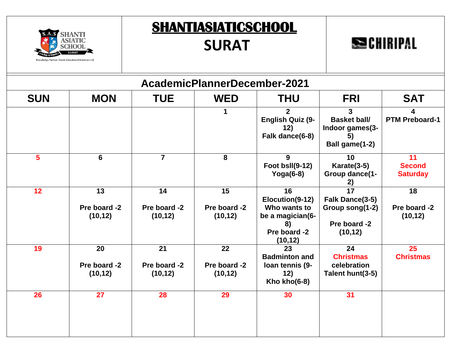



| AcademicPlannerDecember-2021 |                                |                                |                                |                                                                                             |                                                                                   |                                        |  |  |
|------------------------------|--------------------------------|--------------------------------|--------------------------------|---------------------------------------------------------------------------------------------|-----------------------------------------------------------------------------------|----------------------------------------|--|--|
| <b>SUN</b>                   | <b>MON</b>                     | <b>TUE</b>                     | <b>WED</b>                     | <b>THU</b>                                                                                  | <b>FRI</b>                                                                        | <b>SAT</b>                             |  |  |
|                              |                                |                                | 1                              | 2 <sup>1</sup><br><b>English Quiz (9-</b><br>12)<br>Falk dance(6-8)                         | 3<br><b>Basket ball/</b><br>Indoor games(3-<br>5)<br>Ball game(1-2)               | 4<br><b>PTM Preboard-1</b>             |  |  |
| 5                            | $6\phantom{1}$                 | $\overline{7}$                 | 8                              | 9<br>Foot bsll(9-12)<br>Yoga $(6-8)$                                                        | 10<br>Karate(3-5)<br>Group dance(1-<br>2)                                         | 11<br><b>Second</b><br><b>Saturday</b> |  |  |
| 12                           | 13<br>Pre board -2<br>(10, 12) | 14<br>Pre board -2<br>(10, 12) | 15<br>Pre board -2<br>(10, 12) | 16<br>Elocution(9-12)<br>Who wants to<br>be a magician(6-<br>8)<br>Pre board -2<br>(10, 12) | $\overline{17}$<br>Falk Dance(3-5)<br>Group song(1-2)<br>Pre board -2<br>(10, 12) | 18<br>Pre board -2<br>(10, 12)         |  |  |
| 19                           | 20<br>Pre board -2<br>(10, 12) | 21<br>Pre board -2<br>(10, 12) | 22<br>Pre board -2<br>(10, 12) | 23<br><b>Badminton and</b><br>loan tennis (9-<br>12)<br>Kho kho $(6-8)$                     | 24<br><b>Christmas</b><br>celebration<br>Talent hunt(3-5)                         | 25<br><b>Christmas</b>                 |  |  |
| 26                           | 27                             | 28                             | 29                             | 30                                                                                          | 31                                                                                |                                        |  |  |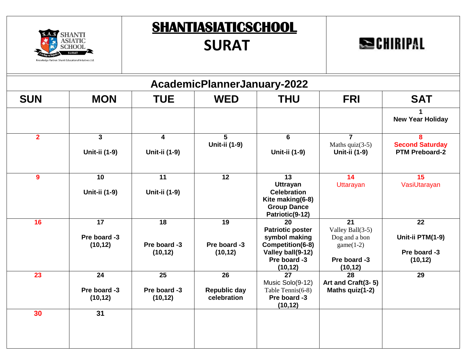

## **SURAT**

# **SECHIRIPAL**

| AcademicPlannerJanuary-2022 |                                             |                                             |                                                       |                                                                                                                     |                                                                                                 |                                                      |  |  |  |
|-----------------------------|---------------------------------------------|---------------------------------------------|-------------------------------------------------------|---------------------------------------------------------------------------------------------------------------------|-------------------------------------------------------------------------------------------------|------------------------------------------------------|--|--|--|
| <b>SUN</b>                  | <b>MON</b>                                  | <b>TUE</b>                                  | <b>WED</b>                                            | <b>THU</b>                                                                                                          | <b>FRI</b>                                                                                      | <b>SAT</b>                                           |  |  |  |
|                             |                                             |                                             |                                                       |                                                                                                                     |                                                                                                 | <b>New Year Holiday</b>                              |  |  |  |
| $\overline{2}$              | $\mathbf{3}$<br>Unit-ii (1-9)               | $\overline{\mathbf{4}}$<br>Unit-ii (1-9)    | 5<br>Unit-ii (1-9)                                    | $6\phantom{1}$<br>Unit-ii (1-9)                                                                                     | $\overline{7}$<br>Maths $quiz(3-5)$<br>Unit-ii (1-9)                                            | 8<br><b>Second Saturday</b><br><b>PTM Preboard-2</b> |  |  |  |
| 9                           | 10<br>Unit-ii (1-9)                         | 11<br>Unit-ii (1-9)                         | 12                                                    | 13<br><b>Uttrayan</b><br><b>Celebration</b><br>Kite making(6-8)<br><b>Group Dance</b><br>Patriotic(9-12)            | 14<br>Uttarayan                                                                                 | 15<br>VasiUtarayan                                   |  |  |  |
| 16                          | $\overline{17}$<br>Pre board -3<br>(10, 12) | 18<br>Pre board -3<br>(10, 12)              | 19<br>Pre board -3<br>(10, 12)                        | 20<br><b>Patriotic poster</b><br>symbol making<br>Competition(6-8)<br>Valley ball(9-12)<br>Pre board -3<br>(10, 12) | $\overline{21}$<br>Valley Ball(3-5)<br>Dog and a bon<br>$game(1-2)$<br>Pre board -3<br>(10, 12) | 22<br>Unit-ii PTM(1-9)<br>Pre board -3<br>(10, 12)   |  |  |  |
| 23                          | $\overline{24}$<br>Pre board -3<br>(10, 12) | $\overline{25}$<br>Pre board -3<br>(10, 12) | $\overline{26}$<br><b>Republic day</b><br>celebration | $\overline{27}$<br>Music Solo(9-12)<br>Table Tennis(6-8)<br>Pre board -3<br>(10, 12)                                | $\overline{28}$<br>Art and Craft(3-5)<br>Maths quiz(1-2)                                        | 29                                                   |  |  |  |
| 30                          | 31                                          |                                             |                                                       |                                                                                                                     |                                                                                                 |                                                      |  |  |  |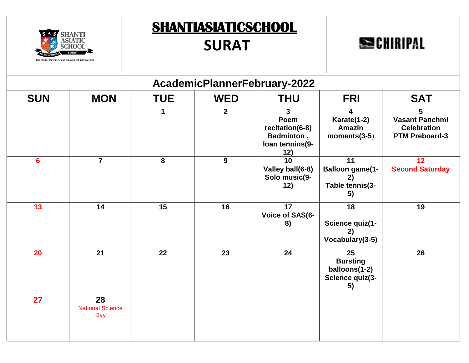



|                | AcademicPlannerFebruary-2022         |            |                |                                                                                 |                                                                          |                                                                           |  |  |  |  |  |
|----------------|--------------------------------------|------------|----------------|---------------------------------------------------------------------------------|--------------------------------------------------------------------------|---------------------------------------------------------------------------|--|--|--|--|--|
| <b>SUN</b>     | <b>MON</b>                           | <b>TUE</b> | <b>WED</b>     | <b>THU</b>                                                                      | <b>FRI</b>                                                               | <b>SAT</b>                                                                |  |  |  |  |  |
|                |                                      |            | $\overline{2}$ | $\mathbf{3}$<br>Poem<br>recitation(6-8)<br>Badminton,<br>loan tennins(9-<br>12) | Karate(1-2)<br><b>Amazin</b><br>$moments(3-5)$                           | 5<br><b>Vasant Panchmi</b><br><b>Celebration</b><br><b>PTM Preboard-3</b> |  |  |  |  |  |
| $6\phantom{1}$ | $\overline{7}$                       | 8          | $\mathbf{9}$   | 10<br>Valley ball(6-8)<br>Solo music(9-<br>12)                                  | $\overline{11}$<br><b>Balloon game(1-</b><br>2)<br>Table tennis(3-<br>5) | 12<br><b>Second Saturday</b>                                              |  |  |  |  |  |
| 13             | 14                                   | 15         | 16             | 17<br>Voice of SAS(6-<br>8)                                                     | 18<br>Science quiz(1-<br>2)<br>Vocabulary(3-5)                           | 19                                                                        |  |  |  |  |  |
| 20             | 21                                   | 22         | 23             | 24                                                                              | 25<br><b>Bursting</b><br>balloons(1-2)<br>Science quiz(3-<br>5)          | 26                                                                        |  |  |  |  |  |
| 27             | 28<br><b>National Science</b><br>Day |            |                |                                                                                 |                                                                          |                                                                           |  |  |  |  |  |